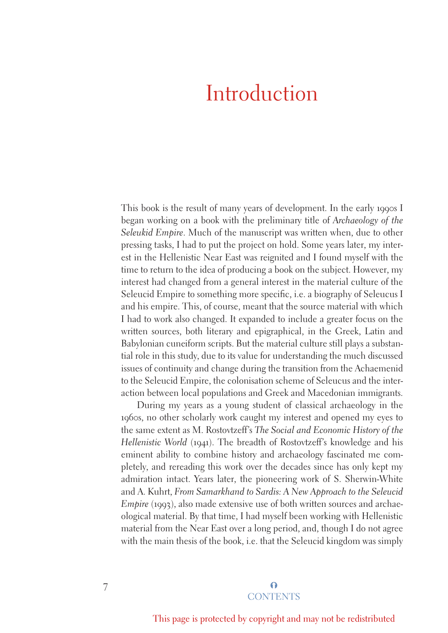# Introduction

This book is the result of many years of development. In the early 1990s I began working on a book with the preliminary title of *Archaeology of the Seleukid Empire*. Much of the manuscript was written when, due to other pressing tasks, I had to put the project on hold. Some years later, my interest in the Hellenistic Near East was reignited and I found myself with the time to return to the idea of producing a book on the subject. However, my interest had changed from a general interest in the material culture of the Seleucid Empire to something more specific, i.e. a biography of Seleucus I and his empire. This, of course, meant that the source material with which I had to work also changed. It expanded to include a greater focus on the written sources, both literary and epigraphical, in the Greek, Latin and Babylonian cuneiform scripts. But the material culture still plays a substantial role in this study, due to its value for understanding the much discussed issues of continuity and change during the transition from the Achaemenid to the Seleucid Empire, the colonisation scheme of Seleucus and the interaction between local populations and Greek and Macedonian immigrants.

During my years as a young student of classical archaeology in the 1960s, no other scholarly work caught my interest and opened my eyes to the same extent as M. Rostovtzeff's *The Social and Economic History of the Hellenistic World* (1941). The breadth of Rostovtzeff's knowledge and his eminent ability to combine history and archaeology fascinated me completely, and rereading this work over the decades since has only kept my admiration intact. Years later, the pioneering work of S. Sherwin-White and A. Kuhrt, *From Samarkhand to Sardis: A New Approach to the Seleucid Empire* (1993), also made extensive use of both written sources and archaeological material. By that time, I had myself been working with Hellenistic material from the Near East over a long period, and, though I do not agree with the main thesis of the book, i.e. that the Seleucid kingdom was simply

## $\Omega$ **CONTENTS**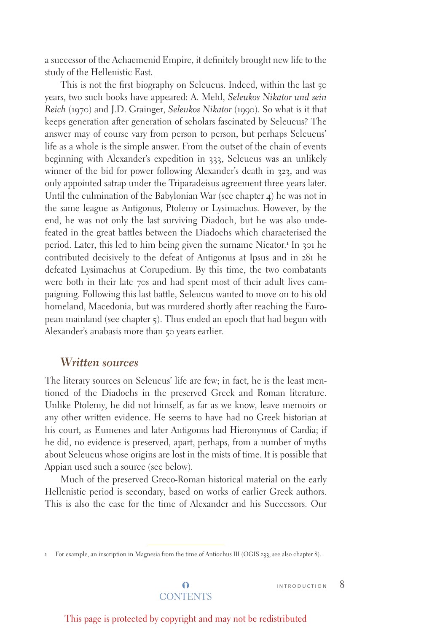a successor of the Achaemenid Empire, it definitely brought new life to the study of the Hellenistic East.

This is not the first biography on Seleucus. Indeed, within the last 50 years, two such books have appeared: A. Mehl, *Seleukos Nikator und sein Reich* (1970) and J.D. Grainger, *Seleukos Nikator* (1990). So what is it that keeps generation after generation of scholars fascinated by Seleucus? The answer may of course vary from person to person, but perhaps Seleucus' life as a whole is the simple answer. From the outset of the chain of events beginning with Alexander's expedition in 333, Seleucus was an unlikely winner of the bid for power following Alexander's death in 323, and was only appointed satrap under the Triparadeisus agreement three years later. Until the culmination of the Babylonian War (see chapter  $\phi$ ) he was not in the same league as Antigonus, Ptolemy or Lysimachus. However, by the end, he was not only the last surviving Diadoch, but he was also undefeated in the great battles between the Diadochs which characterised the period. Later, this led to him being given the surname Nicator.<sup>1</sup> In 301 he contributed decisively to the defeat of Antigonus at Ipsus and in 281 he defeated Lysimachus at Corupedium. By this time, the two combatants were both in their late 70s and had spent most of their adult lives campaigning. Following this last battle, Seleucus wanted to move on to his old homeland, Macedonia, but was murdered shortly after reaching the European mainland (see chapter 5). Thus ended an epoch that had begun with Alexander's anabasis more than 50 years earlier.

## *Written sources*

The literary sources on Seleucus' life are few; in fact, he is the least mentioned of the Diadochs in the preserved Greek and Roman literature. Unlike Ptolemy, he did not himself, as far as we know, leave memoirs or any other written evidence. He seems to have had no Greek historian at his court, as Eumenes and later Antigonus had Hieronymus of Cardia; if he did, no evidence is preserved, apart, perhaps, from a number of myths about Seleucus whose origins are lost in the mists of time. It is possible that Appian used such a source (see below).

Much of the preserved Greco-Roman historical material on the early Hellenistic period is secondary, based on works of earlier Greek authors. This is also the case for the time of Alexander and his Successors. Our

 $\Omega$ **CONTENTS** 

<sup>1</sup> For example, an inscription in Magnesia from the time of Antiochus III (OGIS 233; see also chapter 8).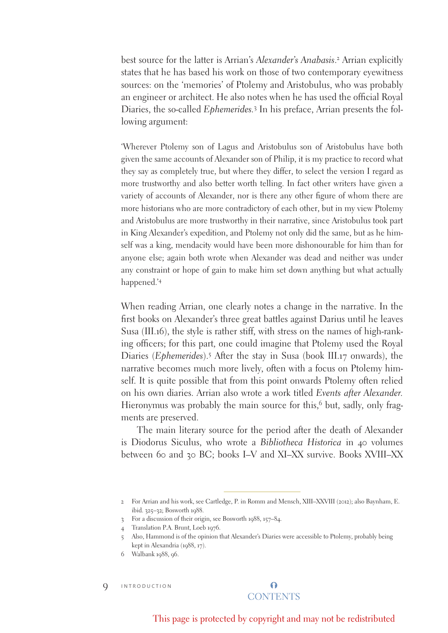best source for the latter is Arrian's *Alexander's Anabasis*. 2 Arrian explicitly states that he has based his work on those of two contemporary eyewitness sources: on the 'memories' of Ptolemy and Aristobulus, who was probably an engineer or architect. He also notes when he has used the official Royal Diaries, the so-called *Ephemerides.*<sup>3</sup> In his preface, Arrian presents the following argument:

'Wherever Ptolemy son of Lagus and Aristobulus son of Aristobulus have both given the same accounts of Alexander son of Philip, it is my practice to record what they say as completely true, but where they differ, to select the version I regard as more trustworthy and also better worth telling. In fact other writers have given a variety of accounts of Alexander, nor is there any other figure of whom there are more historians who are more contradictory of each other, but in my view Ptolemy and Aristobulus are more trustworthy in their narrative, since Aristobulus took part in King Alexander's expedition, and Ptolemy not only did the same, but as he himself was a king, mendacity would have been more dishonourable for him than for anyone else; again both wrote when Alexander was dead and neither was under any constraint or hope of gain to make him set down anything but what actually happened.'4

When reading Arrian, one clearly notes a change in the narrative. In the first books on Alexander's three great battles against Darius until he leaves Susa (III.16), the style is rather stiff, with stress on the names of high-ranking officers; for this part, one could imagine that Ptolemy used the Royal Diaries (*Ephemerides*).5 After the stay in Susa (book III.17 onwards), the narrative becomes much more lively, often with a focus on Ptolemy himself. It is quite possible that from this point onwards Ptolemy often relied on his own diaries. Arrian also wrote a work titled *Events after Alexander.* Hieronymus was probably the main source for this,<sup>6</sup> but, sadly, only fragments are preserved.

The main literary source for the period after the death of Alexander is Diodorus Siculus, who wrote a *Bibliotheca Historica* in 40 volumes between 60 and 30 BC; books I–V and XI–XX survive. Books XVIII–XX

**9** INTRODUCTION

<sup>2</sup> For Arrian and his work, see Cartledge, P. in Romm and Mensch, XIII–XXVIII (2012); also Baynham, E. ibid. 325–32; Bosworth 1988.

<sup>3</sup> For a discussion of their origin, see Bosworth 1988, 157–84.

<sup>4</sup> Translation P.A. Brunt, Loeb 1976.

<sup>5</sup> Also, Hammond is of the opinion that Alexander's Diaries were accessible to Ptolemy, probably being kept in Alexandria (1988, 17).

<sup>6</sup> Walbank 1988, 96.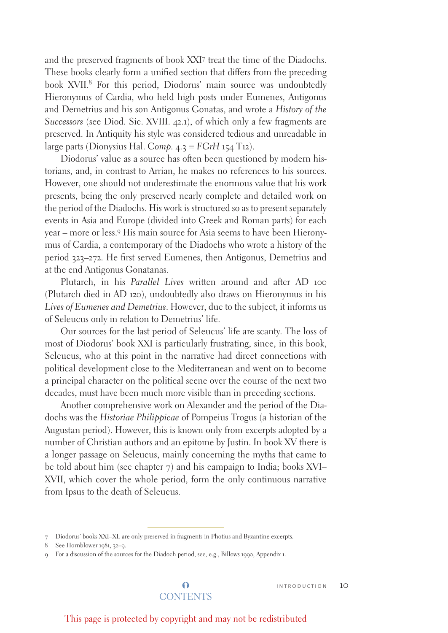and the preserved fragments of book XXI7 treat the time of the Diadochs. These books clearly form a unified section that differs from the preceding book XVII.<sup>8</sup> For this period, Diodorus' main source was undoubtedly Hieronymus of Cardia, who held high posts under Eumenes, Antigonus and Demetrius and his son Antigonus Gonatas, and wrote a *History of the Successors* (see Diod. Sic. XVIII. 42.1), of which only a few fragments are preserved. In Antiquity his style was considered tedious and unreadable in large parts (Dionysius Hal. C*omp.* 4.3 = *FGrH* 154 T12).

Diodorus' value as a source has often been questioned by modern historians, and, in contrast to Arrian, he makes no references to his sources. However, one should not underestimate the enormous value that his work presents, being the only preserved nearly complete and detailed work on the period of the Diadochs. His work is structured so as to present separately events in Asia and Europe (divided into Greek and Roman parts) for each year – more or less.9 His main source for Asia seems to have been Hieronymus of Cardia, a contemporary of the Diadochs who wrote a history of the period 323–272. He first served Eumenes, then Antigonus, Demetrius and at the end Antigonus Gonatanas.

Plutarch, in his *Parallel Lives* written around and after AD 100 (Plutarch died in AD 120), undoubtedly also draws on Hieronymus in his *Lives of Eumenes and Demetrius*. However, due to the subject, it informs us of Seleucus only in relation to Demetrius' life.

Our sources for the last period of Seleucus' life are scanty. The loss of most of Diodorus' book XXI is particularly frustrating, since, in this book, Seleucus, who at this point in the narrative had direct connections with political development close to the Mediterranean and went on to become a principal character on the political scene over the course of the next two decades, must have been much more visible than in preceding sections.

Another comprehensive work on Alexander and the period of the Diadochs was the *Historiae Philippicae* of Pompeius Trogus (a historian of the Augustan period). However, this is known only from excerpts adopted by a number of Christian authors and an epitome by Justin. In book XV there is a longer passage on Seleucus, mainly concerning the myths that came to be told about him (see chapter 7) and his campaign to India; books XVI– XVII, which cover the whole period, form the only continuous narrative from Ipsus to the death of Seleucus.

 $\Omega$ **CONTENTS** 

<sup>7</sup> Diodorus' books XXI–XL are only preserved in fragments in Photius and Byzantine excerpts.

<sup>8</sup> See Hornblower 1981, 32–9.

<sup>9</sup> For a discussion of the sources for the Diadoch period, see, e.g., Billows 1990, Appendix 1.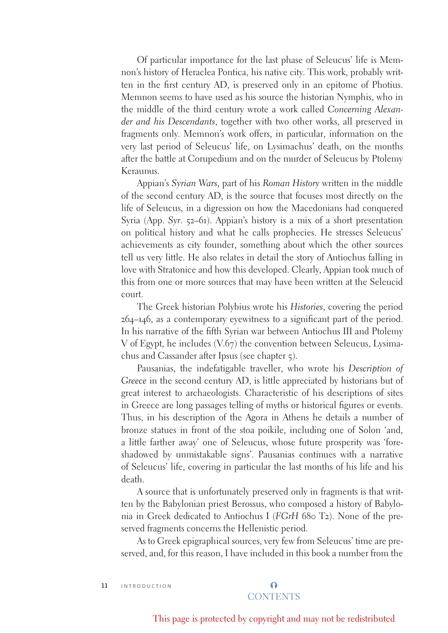Of particular importance for the last phase of Seleucus' life is Memnon's history of Heraclea Pontica, his native city. This work, probably written in the first century AD, is preserved only in an epitome of Photius. Memnon seems to have used as his source the historian Nymphis, who in the middle of the third century wrote a work called *Concerning Alexander and his Descendants*, together with two other works, all preserved in fragments only. Memnon's work offers, in particular, information on the very last period of Seleucus' life, on Lysimachus' death, on the months after the battle at Corupedium and on the murder of Seleucus by Ptolemy Keraunus.

Appian's *Syrian Wars*, part of his *Roman History* written in the middle of the second century AD, is the source that focuses most directly on the life of Seleucus, in a digression on how the Macedonians had conquered Syria (App. *Syr*. 52–61). Appian's history is a mix of a short presentation on political history and what he calls prophecies. He stresses Seleucus' achievements as city founder, something about which the other sources tell us very little. He also relates in detail the story of Antiochus falling in love with Stratonice and how this developed. Clearly, Appian took much of this from one or more sources that may have been written at the Seleucid court.

The Greek historian Polybius wrote his *Histories*, covering the period 264–146, as a contemporary eyewitness to a significant part of the period. In his narrative of the fifth Syrian war between Antiochus III and Ptolemy V of Egypt, he includes (V.67) the convention between Seleucus, Lysimachus and Cassander after Ipsus (see chapter 5).

Pausanias, the indefatigable traveller, who wrote his *Description of Greece* in the second century AD, is little appreciated by historians but of great interest to archaeologists. Characteristic of his descriptions of sites in Greece are long passages telling of myths or historical figures or events. Thus, in his description of the Agora in Athens he details a number of bronze statues in front of the stoa poikile, including one of Solon 'and, a little farther away' one of Seleucus, whose future prosperity was 'foreshadowed by unmistakable signs'. Pausanias continues with a narrative of Seleucus' life, covering in particular the last months of his life and his death.

A source that is unfortunately preserved only in fragments is that written by the Babylonian priest Berossus, who composed a history of Babylonia in Greek dedicated to Antiochus I (*FGrH* 680 T2). None of the preserved fragments concerns the Hellenistic period.

As to Greek epigraphical sources, very few from Seleucus' time are preserved, and, for this reason, I have included in this book a number from the

11 INTRODUCTION

### $\Omega$ **CONTENTS**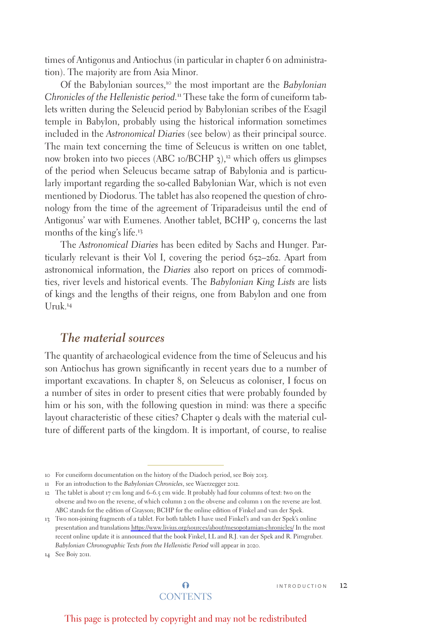times of Antigonus and Antiochus (in particular in chapter 6 on administration). The majority are from Asia Minor.

Of the Babylonian sources,10 the most important are the *Babylonian Chronicles of the Hellenistic period.*11 These take the form of cuneiform tablets written during the Seleucid period by Babylonian scribes of the Esagil temple in Babylon, probably using the historical information sometimes included in the *Astronomical Diaries* (see below) as their principal source. The main text concerning the time of Seleucus is written on one tablet, now broken into two pieces (ABC 10/BCHP  $\alpha$ ),<sup>12</sup> which offers us glimpses of the period when Seleucus became satrap of Babylonia and is particularly important regarding the so-called Babylonian War, which is not even mentioned by Diodorus. The tablet has also reopened the question of chronology from the time of the agreement of Triparadeisus until the end of Antigonus' war with Eumenes. Another tablet, BCHP 9, concerns the last months of the king's life.13

The *Astronomical Diaries* has been edited by Sachs and Hunger. Particularly relevant is their Vol I, covering the period 652–262. Apart from astronomical information, the *Diaries* also report on prices of commodities, river levels and historical events. The *Babylonian King Lists* are lists of kings and the lengths of their reigns, one from Babylon and one from  $Uruk<sup>14</sup>$ 

## *The material sources*

The quantity of archaeological evidence from the time of Seleucus and his son Antiochus has grown significantly in recent years due to a number of important excavations. In chapter 8, on Seleucus as coloniser, I focus on a number of sites in order to present cities that were probably founded by him or his son, with the following question in mind: was there a specific layout characteristic of these cities? Chapter 9 deals with the material culture of different parts of the kingdom. It is important, of course, to realise

14 See Boiy 2011.

<sup>10</sup> For cuneiform documentation on the history of the Diadoch period, see Boiy 2013.

<sup>11</sup> For an introduction to the *Babylonian Chronicles*, see Waerzegger 2012.

<sup>12</sup> The tablet is about 17 cm long and 6–6.5 cm wide. It probably had four columns of text: two on the obverse and two on the reverse, of which column 2 on the obverse and column 1 on the reverse are lost. ABC stands for the edition of Grayson; BCHP for the online edition of Finkel and van der Spek.

<sup>13</sup> Two non-joining fragments of a tablet. For both tablets I have used Finkel's and van der Spek's online presentation and translations<https://www.livius.org/sources/about/mesopotamian-chronicles/> In the most recent online update it is announced that the book Finkel, I.L and R.J. van der Spek and R. Pirngruber. *Babylonian Chronographic Texts from the Hellenistic Period* will appear in 2020.